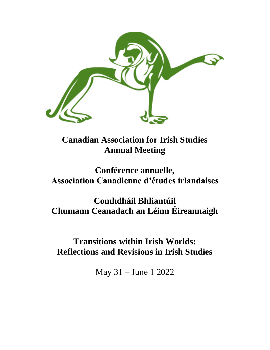

**Canadian Association for Irish Studies Annual Meeting**

## **Conférence annuelle, Association Canadienne d'études irlandaises**

# **Comhdháil Bhliantúil Chumann Ceanadach an Léinn Éireannaigh**

## **Transitions within Irish Worlds: Reflections and Revisions in Irish Studies**

May 31 – June 1 2022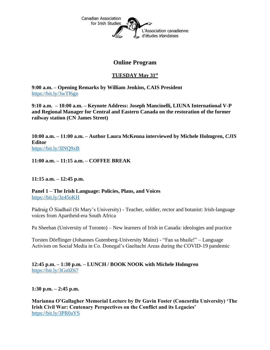

## **Online Program**

### **TUESDAY May 31st**

**9:00 a.m. – Opening Remarks by William Jenkins, CAIS President** <https://bit.ly/3wTf6gn>

**9:10 a.m. – 10:00 a.m. – Keynote Address: Joseph Mancinelli, LIUNA International V-P and Regional Manager for Central and Eastern Canada on the restoration of the former railway station (CN James Street)**

**10:00 a.m. – 11:00 a.m. – Author Laura McKenna interviewed by Michele Holmgren,** *CJIS* **Editor** <https://bit.ly/3lNQ9xB>

**11:00 a.m. – 11:15 a.m. – COFFEE BREAK**

**11:15 a.m. – 12:45 p.m.** 

**Panel 1 – The Irish Language: Policies, Plans, and Voices** <https://bit.ly/3z45oKH>

Pádraig Ó Siadhail (St Mary's University) - Teacher, soldier, rector and botanist: Irish-language voices from Apartheid-era South Africa

Pa Sheehan (University of Toronto) – New learners of Irish in Canada: ideologies and practice

Torsten Dörflinger (Johannes Gutenberg-University Mainz) - "Fan sa bhaile!" – Language Activism on Social Media in Co. Donegal's Gaeltacht Areas during the COVID-19 pandemic

#### **12:45 p.m. – 1:30 p.m. – LUNCH / BOOK NOOK with Michele Holmgren** <https://bit.ly/3Gs0Z67>

**1:30 p.m. – 2:45 p.m.**

**Marianna O'Gallagher Memorial Lecture by Dr Gavin Foster (Concordia University) 'The Irish Civil War: Centenary Perspectives on the Conflict and its Legacies'** <https://bit.ly/3PR0aYS>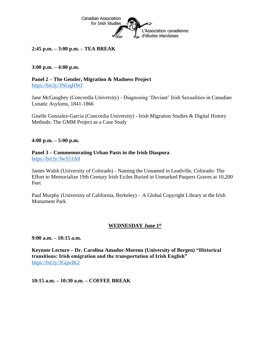

#### **2:45 p.m. – 3:00 p.m. – TEA BREAK**

#### **3:00 p.m. – 4:00 p.m.**

**Panel 2 – The Gender, Migration & Madness Project** <https://bit.ly/3NGqHWJ>

Jane McGaughey (Concordia University) - Diagnosing 'Deviant' Irish Sexualities in Canadian Lunatic Asylums, 1841-1866

Giselle Gonzalez-Garcia (Concordia University) - Irish Migration Studies & Digital History Methods: The GMM Project as a Case Study

**4:00 p.m. – 5:00 p.m.**

#### **Panel 3 – Commemorating Urban Pasts in the Irish Diaspora** <https://bit.ly/3wS51A8>

James Walsh (University of Colorado) - Naming the Unnamed in Leadville, Colorado: The Effort to Memorialize 19th Century Irish Exiles Buried in Unmarked Paupers Graves at 10,200 Feet

Paul Murphy (University of California, Berkeley) – A Global Copyright Library at the Irish Monument Park

#### **WEDNESDAY June 1st**

**9:00 a.m. – 10:15 a.m.**

**Keynote Lecture – Dr. Carolina Amador-Moreno (University of Bergen) "Historical transitions: Irish emigration and the transportation of Irish English"** <https://bit.ly/3GqwlK2>

**10:15 a.m. – 10:30 a.m. – COFFEE BREAK**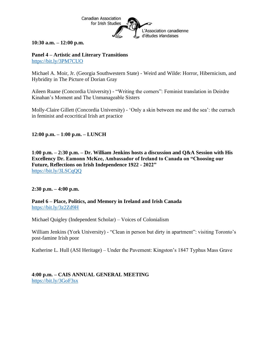

**10:30 a.m. – 12:00 p.m.**

**Panel 4 – Artistic and Literary Transitions** <https://bit.ly/3PM7CUO>

Michael A. Moir, Jr. (Georgia Southwestern State) - Weird and Wilde: Horror, Hibernicism, and Hybridity in The Picture of Dorian Gray

Aileen Ruane (Concordia University) - "Writing the corners": Feminist translation in Deirdre Kinahan's Moment and The Unmanageable Sisters

Molly-Claire Gillett (Concordia University) - 'Only a skin between me and the sea': the currach in feminist and ecocritical Irish art practice

**12:00 p.m. – 1:00 p.m. – LUNCH** 

**1:00 p.m. – 2:30 p.m. – Dr. William Jenkins hosts a discussion and Q&A Session with His Excellency Dr. Eamonn McKee, Ambassador of Ireland to Canada on "Choosing our Future, Reflections on Irish Independence 1922 - 2022"** <https://bit.ly/3LSCqQQ>

**2:30 p.m. – 4:00 p.m.**

**Panel 6 – Place, Politics, and Memory in Ireland and Irish Canada** <https://bit.ly/3z2Zd9H>

Michael Quigley (Independent Scholar) – Voices of Colonialism

William Jenkins (York University) - "Clean in person but dirty in apartment": visiting Toronto's post-famine Irish poor

Katherine L. Hull (ASI Heritage) – Under the Pavement: Kingston's 1847 Typhus Mass Grave

**4:00 p.m. – CAIS ANNUAL GENERAL MEETING** <https://bit.ly/3GoF3sx>